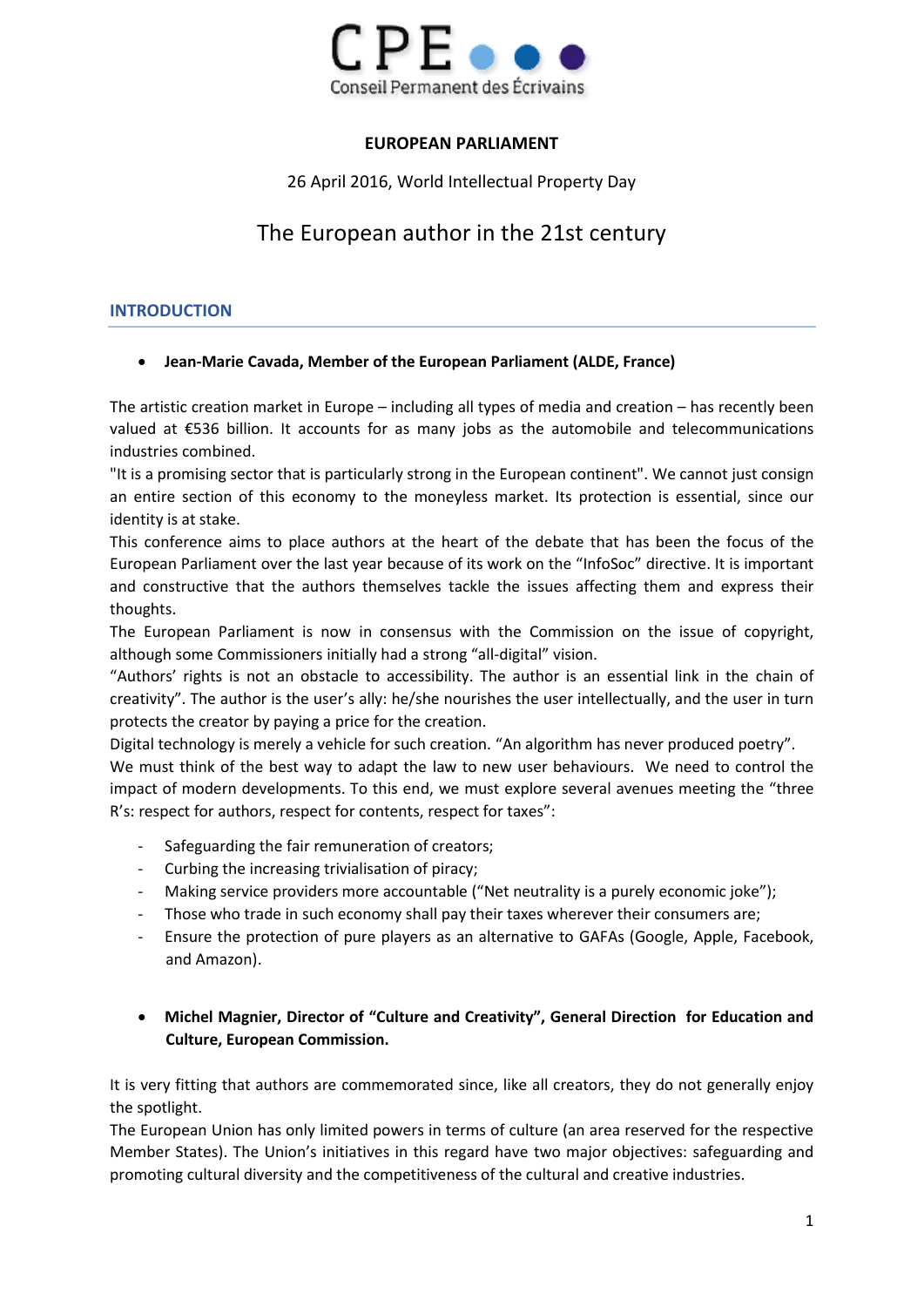

# **EUROPEAN PARLIAMENT**

26 April 2016, World Intellectual Property Day

# The European author in the 21st century

# **INTRODUCTION**

# **Jean-Marie Cavada, Member of the European Parliament (ALDE, France)**

The artistic creation market in Europe – including all types of media and creation – has recently been valued at €536 billion. It accounts for as many jobs as the automobile and telecommunications industries combined.

"It is a promising sector that is particularly strong in the European continent". We cannot just consign an entire section of this economy to the moneyless market. Its protection is essential, since our identity is at stake.

This conference aims to place authors at the heart of the debate that has been the focus of the European Parliament over the last year because of its work on the "InfoSoc" directive. It is important and constructive that the authors themselves tackle the issues affecting them and express their thoughts.

The European Parliament is now in consensus with the Commission on the issue of copyright, although some Commissioners initially had a strong "all-digital" vision.

"Authors' rights is not an obstacle to accessibility. The author is an essential link in the chain of creativity". The author is the user's ally: he/she nourishes the user intellectually, and the user in turn protects the creator by paying a price for the creation.

Digital technology is merely a vehicle for such creation. "An algorithm has never produced poetry".

We must think of the best way to adapt the law to new user behaviours. We need to control the impact of modern developments. To this end, we must explore several avenues meeting the "three R's: respect for authors, respect for contents, respect for taxes":

- Safeguarding the fair remuneration of creators;
- Curbing the increasing trivialisation of piracy;
- Making service providers more accountable ("Net neutrality is a purely economic joke");
- Those who trade in such economy shall pay their taxes wherever their consumers are;
- Ensure the protection of pure players as an alternative to GAFAs (Google, Apple, Facebook, and Amazon).
- **Michel Magnier, Director of "Culture and Creativity", General Direction for Education and Culture, European Commission.**

It is very fitting that authors are commemorated since, like all creators, they do not generally enjoy the spotlight.

The European Union has only limited powers in terms of culture (an area reserved for the respective Member States). The Union's initiatives in this regard have two major objectives: safeguarding and promoting cultural diversity and the competitiveness of the cultural and creative industries.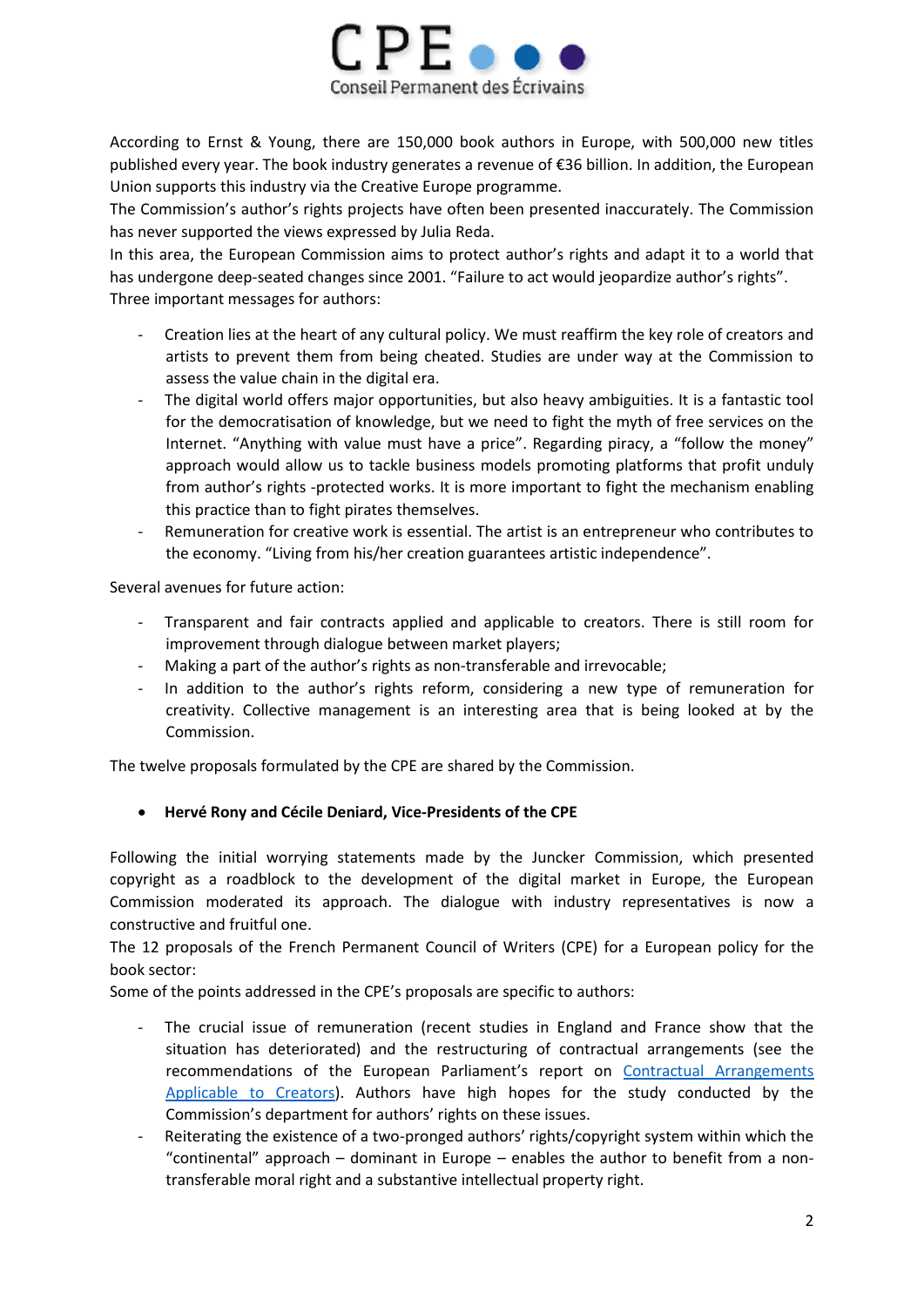

According to Ernst & Young, there are 150,000 book authors in Europe, with 500,000 new titles published every year. The book industry generates a revenue of €36 billion. In addition, the European Union supports this industry via the Creative Europe programme.

The Commission's author's rights projects have often been presented inaccurately. The Commission has never supported the views expressed by Julia Reda.

In this area, the European Commission aims to protect author's rights and adapt it to a world that has undergone deep-seated changes since 2001. "Failure to act would jeopardize author's rights". Three important messages for authors:

- Creation lies at the heart of any cultural policy. We must reaffirm the key role of creators and artists to prevent them from being cheated. Studies are under way at the Commission to assess the value chain in the digital era.
- The digital world offers major opportunities, but also heavy ambiguities. It is a fantastic tool for the democratisation of knowledge, but we need to fight the myth of free services on the Internet. "Anything with value must have a price". Regarding piracy, a "follow the money" approach would allow us to tackle business models promoting platforms that profit unduly from author's rights -protected works. It is more important to fight the mechanism enabling this practice than to fight pirates themselves.
- Remuneration for creative work is essential. The artist is an entrepreneur who contributes to the economy. "Living from his/her creation guarantees artistic independence".

Several avenues for future action:

- Transparent and fair contracts applied and applicable to creators. There is still room for improvement through dialogue between market players;
- Making a part of the author's rights as non-transferable and irrevocable;
- In addition to the author's rights reform, considering a new type of remuneration for creativity. Collective management is an interesting area that is being looked at by the Commission.

The twelve proposals formulated by the CPE are shared by the Commission.

#### **Hervé Rony and Cécile Deniard, Vice-Presidents of the CPE**

Following the initial worrying statements made by the Juncker Commission, which presented copyright as a roadblock to the development of the digital market in Europe, the European Commission moderated its approach. The dialogue with industry representatives is now a constructive and fruitful one.

The 12 proposals of the French Permanent Council of Writers (CPE) for a European policy for the book sector:

Some of the points addressed in the CPE's proposals are specific to authors:

- The crucial issue of remuneration (recent studies in England and France show that the situation has deteriorated) and the restructuring of contractual arrangements (see the recommendations of the European Parliament's report on [Contractual Arrangements](http://www.europarl.europa.eu/meetdocs/2009_2014/documents/juri/dv/contractualarangements_/contractualarangements_en.pdf)  [Applicable to Creators\)](http://www.europarl.europa.eu/meetdocs/2009_2014/documents/juri/dv/contractualarangements_/contractualarangements_en.pdf). Authors have high hopes for the study conducted by the Commission's department for authors' rights on these issues.
- Reiterating the existence of a two-pronged authors' rights/copyright system within which the "continental" approach – dominant in Europe – enables the author to benefit from a nontransferable moral right and a substantive intellectual property right.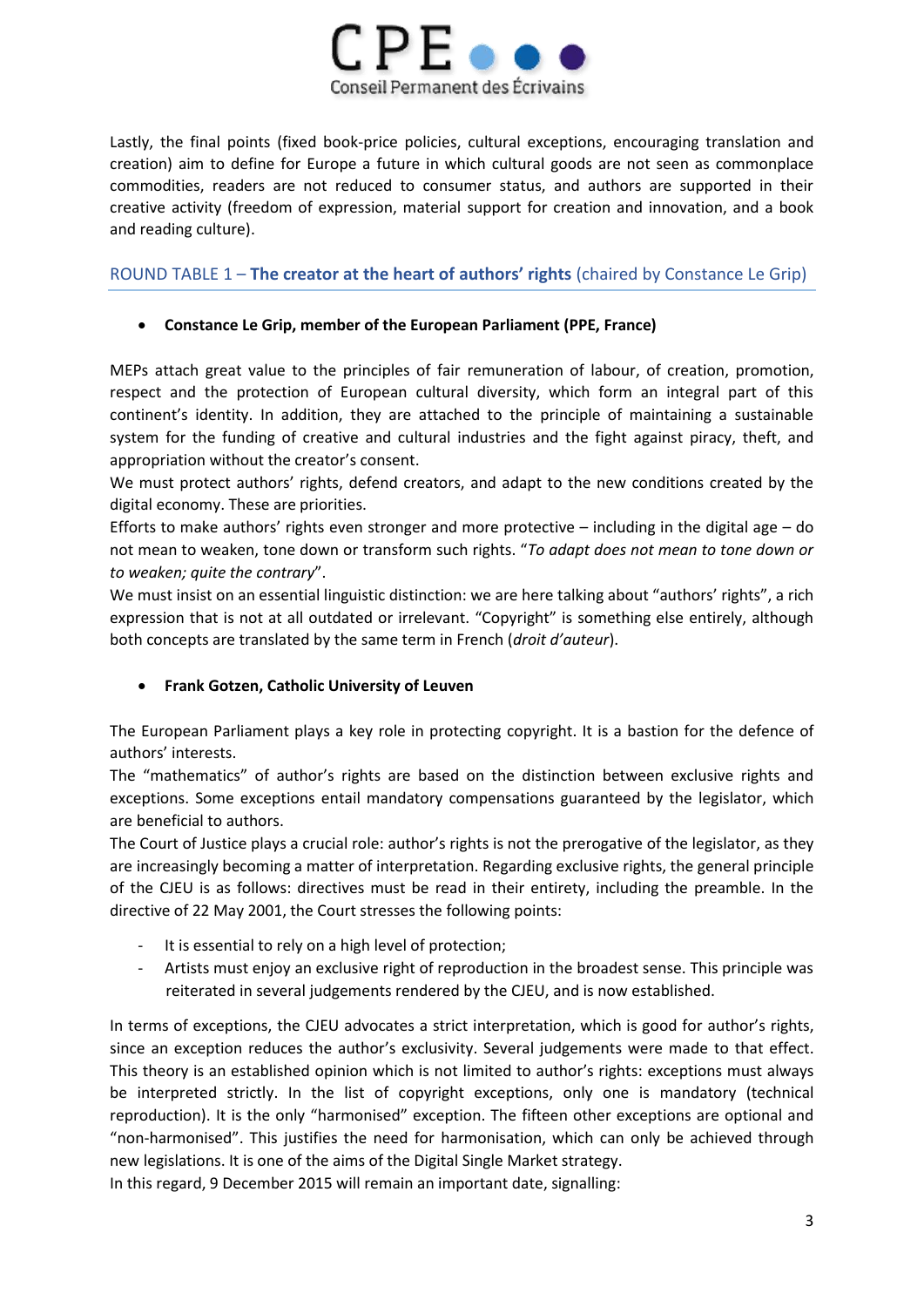

Lastly, the final points (fixed book-price policies, cultural exceptions, encouraging translation and creation) aim to define for Europe a future in which cultural goods are not seen as commonplace commodities, readers are not reduced to consumer status, and authors are supported in their creative activity (freedom of expression, material support for creation and innovation, and a book and reading culture).

ROUND TABLE 1 – **The creator at the heart of authors' rights** (chaired by Constance Le Grip)

### **Constance Le Grip, member of the European Parliament (PPE, France)**

MEPs attach great value to the principles of fair remuneration of labour, of creation, promotion, respect and the protection of European cultural diversity, which form an integral part of this continent's identity. In addition, they are attached to the principle of maintaining a sustainable system for the funding of creative and cultural industries and the fight against piracy, theft, and appropriation without the creator's consent.

We must protect authors' rights, defend creators, and adapt to the new conditions created by the digital economy. These are priorities.

Efforts to make authors' rights even stronger and more protective  $-$  including in the digital age  $-$  do not mean to weaken, tone down or transform such rights. "*To adapt does not mean to tone down or to weaken; quite the contrary*".

We must insist on an essential linguistic distinction: we are here talking about "authors' rights", a rich expression that is not at all outdated or irrelevant. "Copyright" is something else entirely, although both concepts are translated by the same term in French (*droit d'auteur*).

# **Frank Gotzen, Catholic University of Leuven**

The European Parliament plays a key role in protecting copyright. It is a bastion for the defence of authors' interests.

The "mathematics" of author's rights are based on the distinction between exclusive rights and exceptions. Some exceptions entail mandatory compensations guaranteed by the legislator, which are beneficial to authors.

The Court of Justice plays a crucial role: author's rights is not the prerogative of the legislator, as they are increasingly becoming a matter of interpretation. Regarding exclusive rights, the general principle of the CJEU is as follows: directives must be read in their entirety, including the preamble. In the directive of 22 May 2001, the Court stresses the following points:

- It is essential to rely on a high level of protection;
- Artists must enjoy an exclusive right of reproduction in the broadest sense. This principle was reiterated in several judgements rendered by the CJEU, and is now established.

In terms of exceptions, the CJEU advocates a strict interpretation, which is good for author's rights, since an exception reduces the author's exclusivity. Several judgements were made to that effect. This theory is an established opinion which is not limited to author's rights: exceptions must always be interpreted strictly. In the list of copyright exceptions, only one is mandatory (technical reproduction). It is the only "harmonised" exception. The fifteen other exceptions are optional and "non-harmonised". This justifies the need for harmonisation, which can only be achieved through new legislations. It is one of the aims of the Digital Single Market strategy.

In this regard, 9 December 2015 will remain an important date, signalling: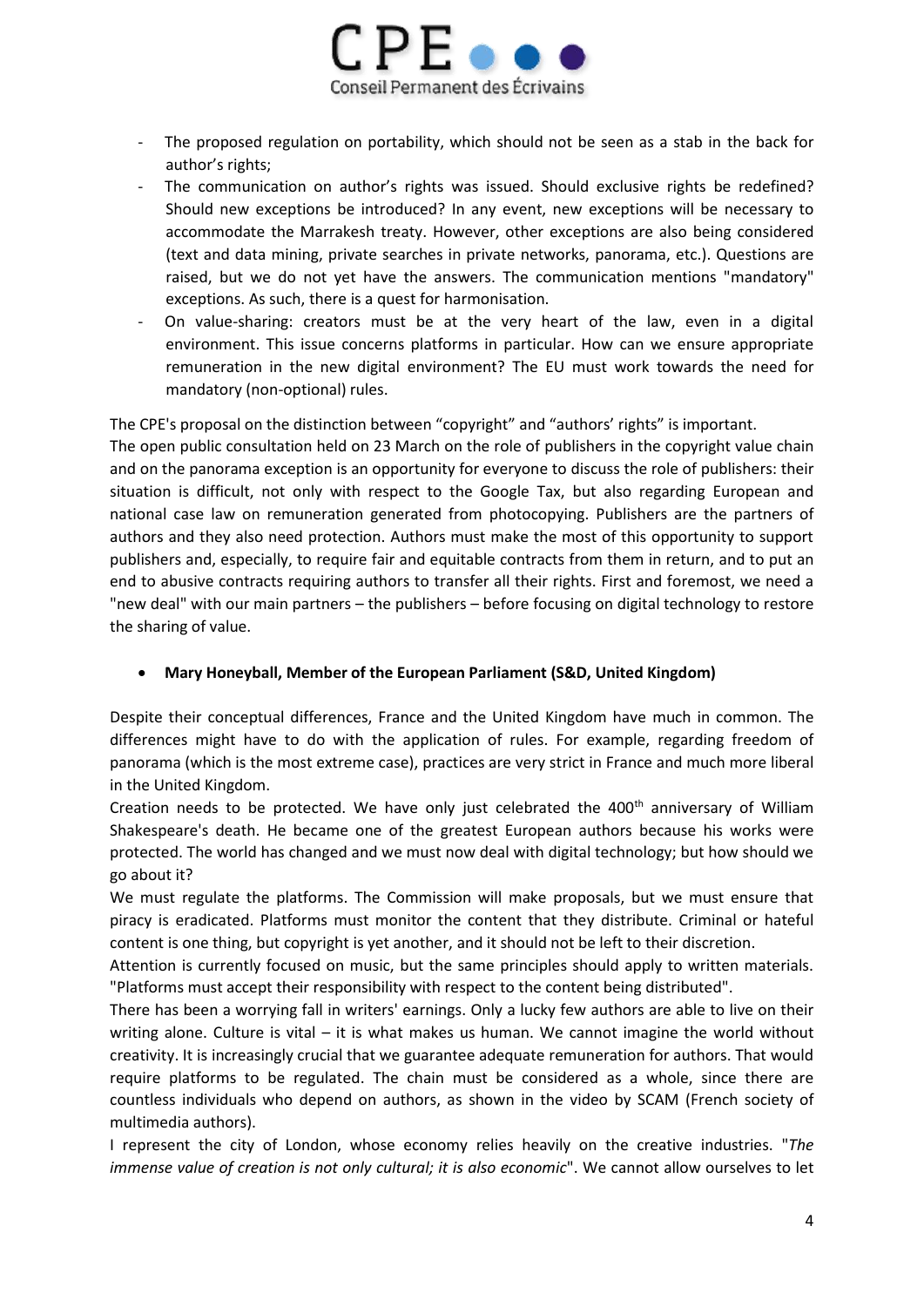

- The proposed regulation on portability, which should not be seen as a stab in the back for author's rights;
- The communication on author's rights was issued. Should exclusive rights be redefined? Should new exceptions be introduced? In any event, new exceptions will be necessary to accommodate the Marrakesh treaty. However, other exceptions are also being considered (text and data mining, private searches in private networks, panorama, etc.). Questions are raised, but we do not yet have the answers. The communication mentions "mandatory" exceptions. As such, there is a quest for harmonisation.
- On value-sharing: creators must be at the very heart of the law, even in a digital environment. This issue concerns platforms in particular. How can we ensure appropriate remuneration in the new digital environment? The EU must work towards the need for mandatory (non-optional) rules.

The CPE's proposal on the distinction between "copyright" and "authors' rights" is important.

The open public consultation held on 23 March on the role of publishers in the copyright value chain and on the panorama exception is an opportunity for everyone to discuss the role of publishers: their situation is difficult, not only with respect to the Google Tax, but also regarding European and national case law on remuneration generated from photocopying. Publishers are the partners of authors and they also need protection. Authors must make the most of this opportunity to support publishers and, especially, to require fair and equitable contracts from them in return, and to put an end to abusive contracts requiring authors to transfer all their rights. First and foremost, we need a "new deal" with our main partners – the publishers – before focusing on digital technology to restore the sharing of value.

# **Mary Honeyball, Member of the European Parliament (S&D, United Kingdom)**

Despite their conceptual differences, France and the United Kingdom have much in common. The differences might have to do with the application of rules. For example, regarding freedom of panorama (which is the most extreme case), practices are very strict in France and much more liberal in the United Kingdom.

Creation needs to be protected. We have only just celebrated the  $400<sup>th</sup>$  anniversary of William Shakespeare's death. He became one of the greatest European authors because his works were protected. The world has changed and we must now deal with digital technology; but how should we go about it?

We must regulate the platforms. The Commission will make proposals, but we must ensure that piracy is eradicated. Platforms must monitor the content that they distribute. Criminal or hateful content is one thing, but copyright is yet another, and it should not be left to their discretion.

Attention is currently focused on music, but the same principles should apply to written materials. "Platforms must accept their responsibility with respect to the content being distributed".

There has been a worrying fall in writers' earnings. Only a lucky few authors are able to live on their writing alone. Culture is vital  $-$  it is what makes us human. We cannot imagine the world without creativity. It is increasingly crucial that we guarantee adequate remuneration for authors. That would require platforms to be regulated. The chain must be considered as a whole, since there are countless individuals who depend on authors, as shown in the video by SCAM (French society of multimedia authors).

I represent the city of London, whose economy relies heavily on the creative industries. "*The immense value of creation is not only cultural; it is also economic"*. We cannot allow ourselves to let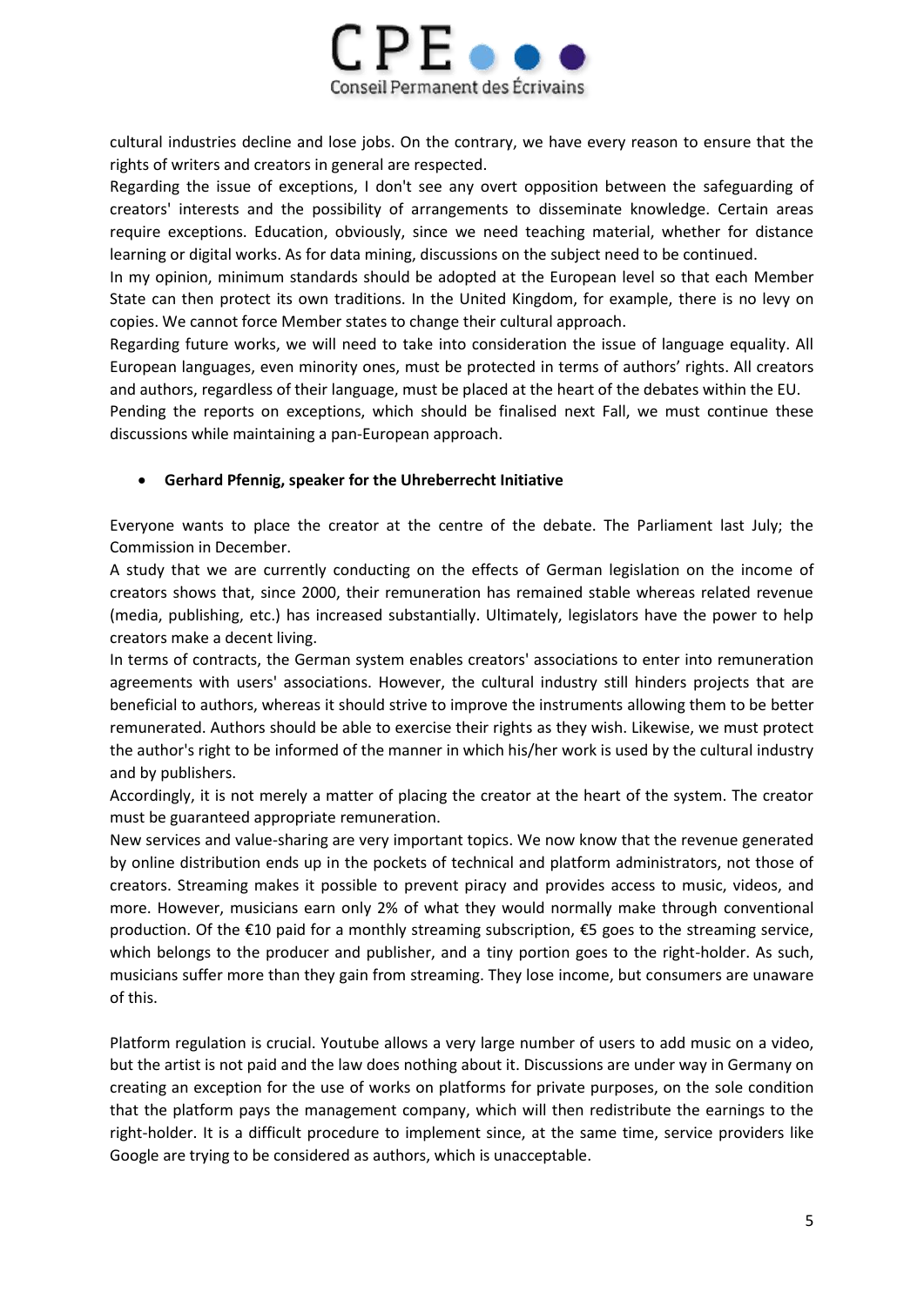

cultural industries decline and lose jobs. On the contrary, we have every reason to ensure that the rights of writers and creators in general are respected.

Regarding the issue of exceptions, I don't see any overt opposition between the safeguarding of creators' interests and the possibility of arrangements to disseminate knowledge. Certain areas require exceptions. Education, obviously, since we need teaching material, whether for distance learning or digital works. As for data mining, discussions on the subject need to be continued.

In my opinion, minimum standards should be adopted at the European level so that each Member State can then protect its own traditions. In the United Kingdom, for example, there is no levy on copies. We cannot force Member states to change their cultural approach.

Regarding future works, we will need to take into consideration the issue of language equality. All European languages, even minority ones, must be protected in terms of authors' rights. All creators and authors, regardless of their language, must be placed at the heart of the debates within the EU.

Pending the reports on exceptions, which should be finalised next Fall, we must continue these discussions while maintaining a pan-European approach.

### **Gerhard Pfennig, speaker for the Uhreberrecht Initiative**

Everyone wants to place the creator at the centre of the debate. The Parliament last July; the Commission in December.

A study that we are currently conducting on the effects of German legislation on the income of creators shows that, since 2000, their remuneration has remained stable whereas related revenue (media, publishing, etc.) has increased substantially. Ultimately, legislators have the power to help creators make a decent living.

In terms of contracts, the German system enables creators' associations to enter into remuneration agreements with users' associations. However, the cultural industry still hinders projects that are beneficial to authors, whereas it should strive to improve the instruments allowing them to be better remunerated. Authors should be able to exercise their rights as they wish. Likewise, we must protect the author's right to be informed of the manner in which his/her work is used by the cultural industry and by publishers.

Accordingly, it is not merely a matter of placing the creator at the heart of the system. The creator must be guaranteed appropriate remuneration.

New services and value-sharing are very important topics. We now know that the revenue generated by online distribution ends up in the pockets of technical and platform administrators, not those of creators. Streaming makes it possible to prevent piracy and provides access to music, videos, and more. However, musicians earn only 2% of what they would normally make through conventional production. Of the €10 paid for a monthly streaming subscription, €5 goes to the streaming service, which belongs to the producer and publisher, and a tiny portion goes to the right-holder. As such, musicians suffer more than they gain from streaming. They lose income, but consumers are unaware of this.

Platform regulation is crucial. Youtube allows a very large number of users to add music on a video, but the artist is not paid and the law does nothing about it. Discussions are under way in Germany on creating an exception for the use of works on platforms for private purposes, on the sole condition that the platform pays the management company, which will then redistribute the earnings to the right-holder. It is a difficult procedure to implement since, at the same time, service providers like Google are trying to be considered as authors, which is unacceptable.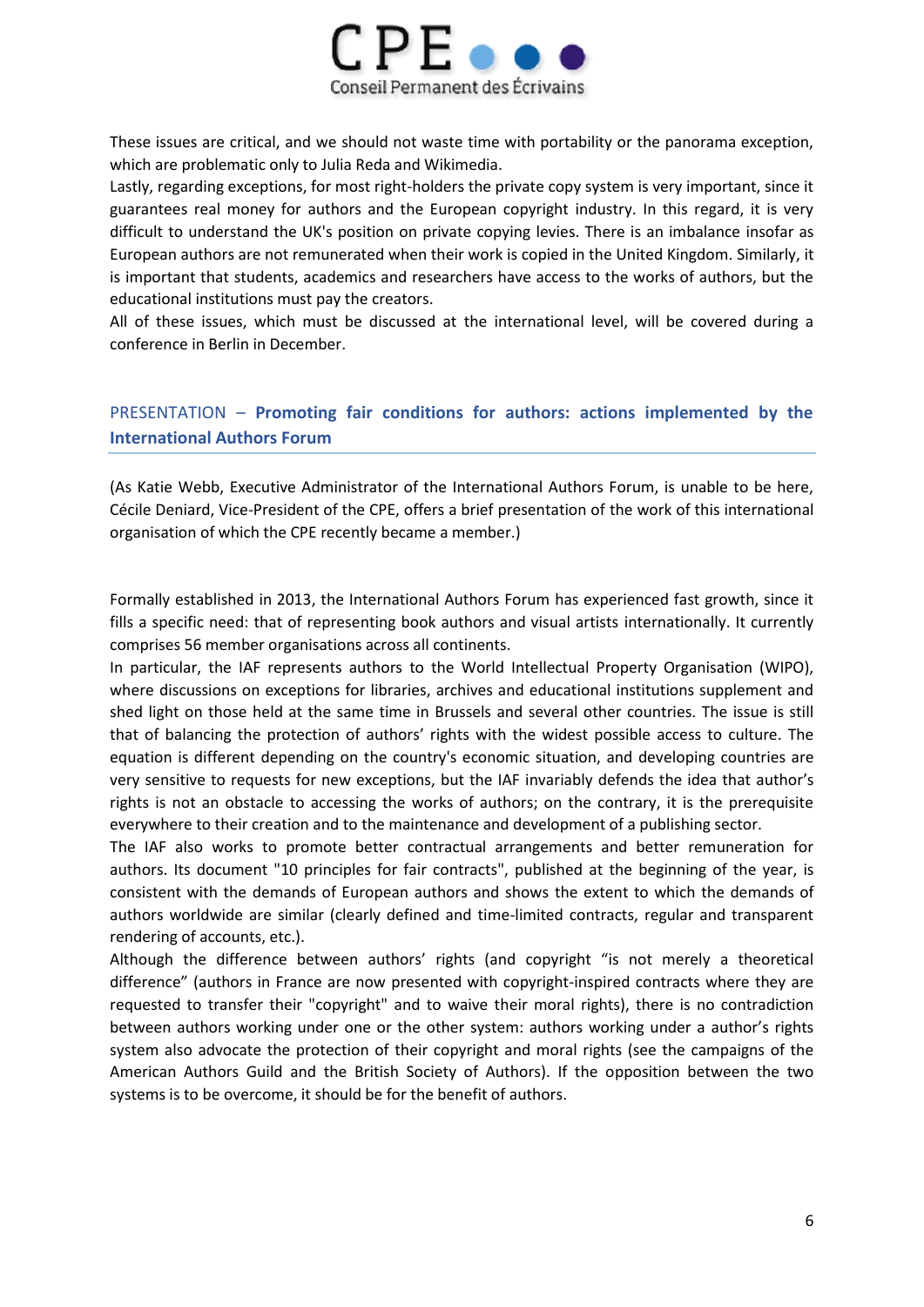

These issues are critical, and we should not waste time with portability or the panorama exception, which are problematic only to Julia Reda and Wikimedia.

Lastly, regarding exceptions, for most right-holders the private copy system is very important, since it guarantees real money for authors and the European copyright industry. In this regard, it is very difficult to understand the UK's position on private copying levies. There is an imbalance insofar as European authors are not remunerated when their work is copied in the United Kingdom. Similarly, it is important that students, academics and researchers have access to the works of authors, but the educational institutions must pay the creators.

All of these issues, which must be discussed at the international level, will be covered during a conference in Berlin in December.

# PRESENTATION – **Promoting fair conditions for authors: actions implemented by the International Authors Forum**

(As Katie Webb, Executive Administrator of the International Authors Forum, is unable to be here, Cécile Deniard, Vice-President of the CPE, offers a brief presentation of the work of this international organisation of which the CPE recently became a member.)

Formally established in 2013, the International Authors Forum has experienced fast growth, since it fills a specific need: that of representing book authors and visual artists internationally. It currently comprises 56 member organisations across all continents.

In particular, the IAF represents authors to the World Intellectual Property Organisation (WIPO), where discussions on exceptions for libraries, archives and educational institutions supplement and shed light on those held at the same time in Brussels and several other countries. The issue is still that of balancing the protection of authors' rights with the widest possible access to culture. The equation is different depending on the country's economic situation, and developing countries are very sensitive to requests for new exceptions, but the IAF invariably defends the idea that author's rights is not an obstacle to accessing the works of authors; on the contrary, it is the prerequisite everywhere to their creation and to the maintenance and development of a publishing sector.

The IAF also works to promote better contractual arrangements and better remuneration for authors. Its document "10 principles for fair contracts", published at the beginning of the year, is consistent with the demands of European authors and shows the extent to which the demands of authors worldwide are similar (clearly defined and time-limited contracts, regular and transparent rendering of accounts, etc.).

Although the difference between authors' rights (and copyright "is not merely a theoretical difference" (authors in France are now presented with copyright-inspired contracts where they are requested to transfer their "copyright" and to waive their moral rights), there is no contradiction between authors working under one or the other system: authors working under a author's rights system also advocate the protection of their copyright and moral rights (see the campaigns of the American Authors Guild and the British Society of Authors). If the opposition between the two systems is to be overcome, it should be for the benefit of authors.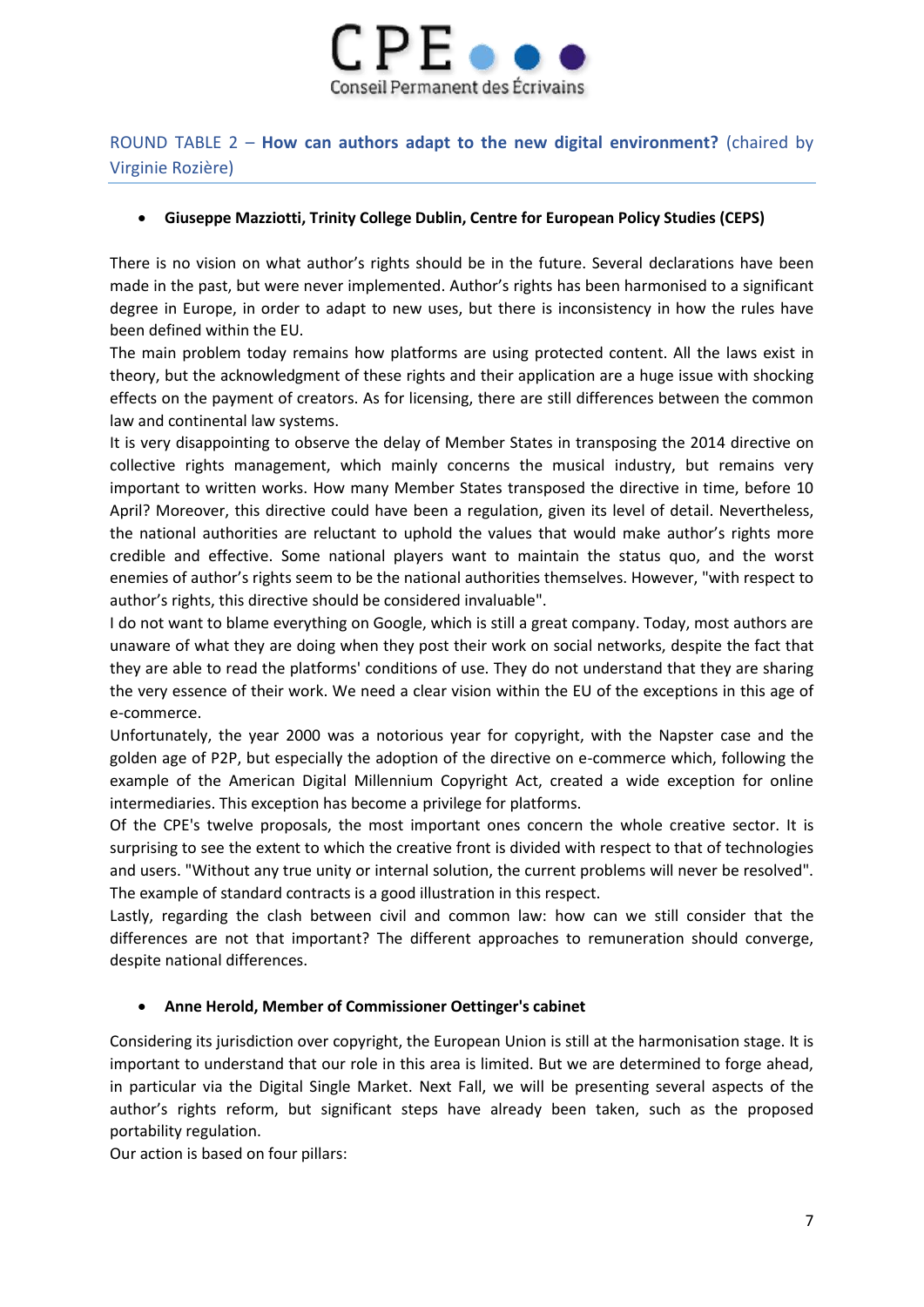

# ROUND TABLE 2 – **How can authors adapt to the new digital environment?** (chaired by Virginie Rozière)

### **Giuseppe Mazziotti, Trinity College Dublin, Centre for European Policy Studies (CEPS)**

There is no vision on what author's rights should be in the future. Several declarations have been made in the past, but were never implemented. Author's rights has been harmonised to a significant degree in Europe, in order to adapt to new uses, but there is inconsistency in how the rules have been defined within the EU.

The main problem today remains how platforms are using protected content. All the laws exist in theory, but the acknowledgment of these rights and their application are a huge issue with shocking effects on the payment of creators. As for licensing, there are still differences between the common law and continental law systems.

It is very disappointing to observe the delay of Member States in transposing the 2014 directive on collective rights management, which mainly concerns the musical industry, but remains very important to written works. How many Member States transposed the directive in time, before 10 April? Moreover, this directive could have been a regulation, given its level of detail. Nevertheless, the national authorities are reluctant to uphold the values that would make author's rights more credible and effective. Some national players want to maintain the status quo, and the worst enemies of author's rights seem to be the national authorities themselves. However, "with respect to author's rights, this directive should be considered invaluable".

I do not want to blame everything on Google, which is still a great company. Today, most authors are unaware of what they are doing when they post their work on social networks, despite the fact that they are able to read the platforms' conditions of use. They do not understand that they are sharing the very essence of their work. We need a clear vision within the EU of the exceptions in this age of e-commerce.

Unfortunately, the year 2000 was a notorious year for copyright, with the Napster case and the golden age of P2P, but especially the adoption of the directive on e-commerce which, following the example of the American Digital Millennium Copyright Act, created a wide exception for online intermediaries. This exception has become a privilege for platforms.

Of the CPE's twelve proposals, the most important ones concern the whole creative sector. It is surprising to see the extent to which the creative front is divided with respect to that of technologies and users. "Without any true unity or internal solution, the current problems will never be resolved". The example of standard contracts is a good illustration in this respect.

Lastly, regarding the clash between civil and common law: how can we still consider that the differences are not that important? The different approaches to remuneration should converge, despite national differences.

# **Anne Herold, Member of Commissioner Oettinger's cabinet**

Considering its jurisdiction over copyright, the European Union is still at the harmonisation stage. It is important to understand that our role in this area is limited. But we are determined to forge ahead, in particular via the Digital Single Market. Next Fall, we will be presenting several aspects of the author's rights reform, but significant steps have already been taken, such as the proposed portability regulation.

Our action is based on four pillars: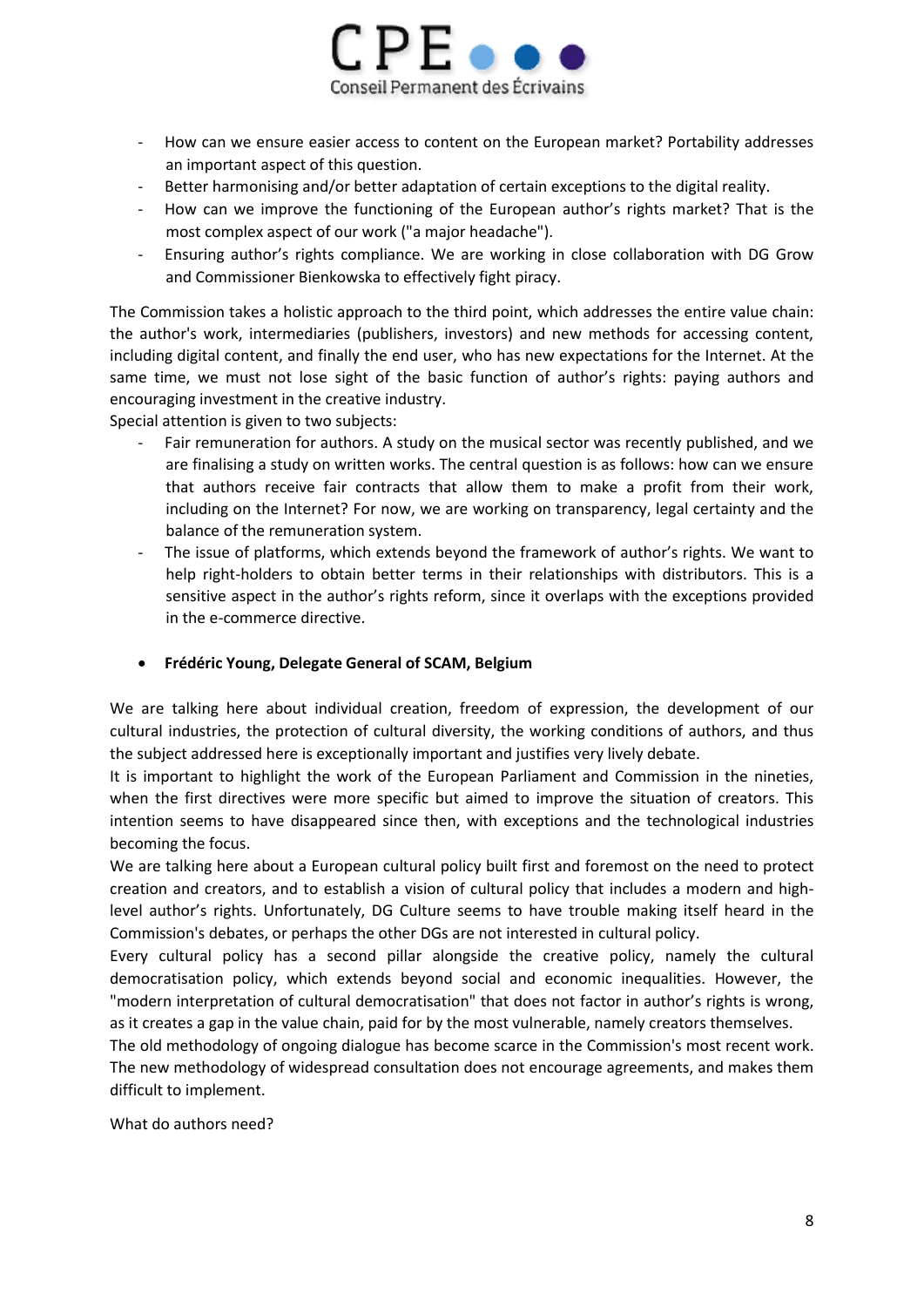

- How can we ensure easier access to content on the European market? Portability addresses an important aspect of this question.
- Better harmonising and/or better adaptation of certain exceptions to the digital reality.
- How can we improve the functioning of the European author's rights market? That is the most complex aspect of our work ("a major headache").
- Ensuring author's rights compliance. We are working in close collaboration with DG Grow and Commissioner Bienkowska to effectively fight piracy.

The Commission takes a holistic approach to the third point, which addresses the entire value chain: the author's work, intermediaries (publishers, investors) and new methods for accessing content, including digital content, and finally the end user, who has new expectations for the Internet. At the same time, we must not lose sight of the basic function of author's rights: paying authors and encouraging investment in the creative industry.

Special attention is given to two subjects:

- Fair remuneration for authors. A study on the musical sector was recently published, and we are finalising a study on written works. The central question is as follows: how can we ensure that authors receive fair contracts that allow them to make a profit from their work, including on the Internet? For now, we are working on transparency, legal certainty and the balance of the remuneration system.
- The issue of platforms, which extends beyond the framework of author's rights. We want to help right-holders to obtain better terms in their relationships with distributors. This is a sensitive aspect in the author's rights reform, since it overlaps with the exceptions provided in the e-commerce directive.

#### **Frédéric Young, Delegate General of SCAM, Belgium**

We are talking here about individual creation, freedom of expression, the development of our cultural industries, the protection of cultural diversity, the working conditions of authors, and thus the subject addressed here is exceptionally important and justifies very lively debate.

It is important to highlight the work of the European Parliament and Commission in the nineties, when the first directives were more specific but aimed to improve the situation of creators. This intention seems to have disappeared since then, with exceptions and the technological industries becoming the focus.

We are talking here about a European cultural policy built first and foremost on the need to protect creation and creators, and to establish a vision of cultural policy that includes a modern and highlevel author's rights. Unfortunately, DG Culture seems to have trouble making itself heard in the Commission's debates, or perhaps the other DGs are not interested in cultural policy.

Every cultural policy has a second pillar alongside the creative policy, namely the cultural democratisation policy, which extends beyond social and economic inequalities. However, the "modern interpretation of cultural democratisation" that does not factor in author's rights is wrong, as it creates a gap in the value chain, paid for by the most vulnerable, namely creators themselves.

The old methodology of ongoing dialogue has become scarce in the Commission's most recent work. The new methodology of widespread consultation does not encourage agreements, and makes them difficult to implement.

What do authors need?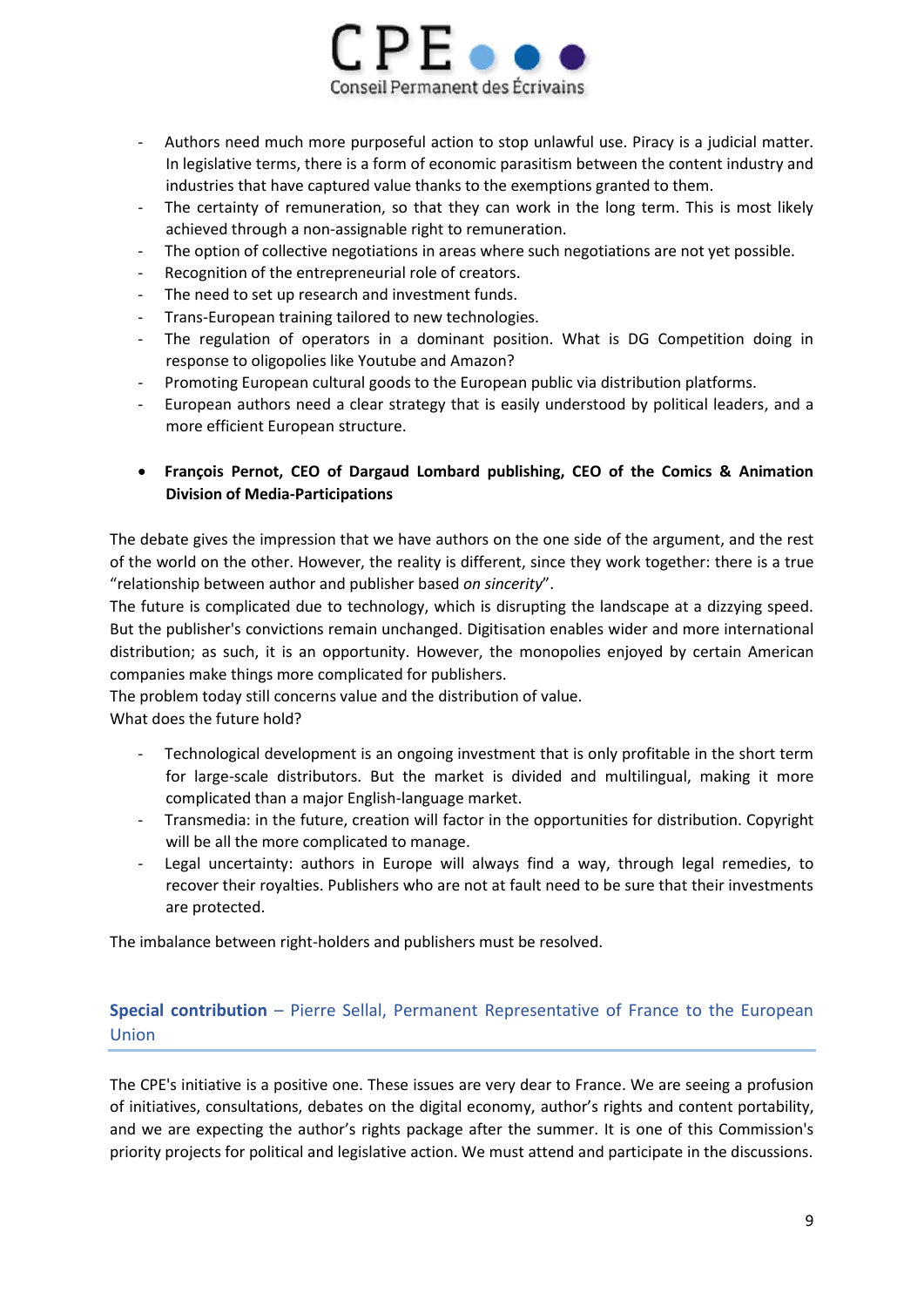

- Authors need much more purposeful action to stop unlawful use. Piracy is a judicial matter. In legislative terms, there is a form of economic parasitism between the content industry and industries that have captured value thanks to the exemptions granted to them.
- The certainty of remuneration, so that they can work in the long term. This is most likely achieved through a non-assignable right to remuneration.
- The option of collective negotiations in areas where such negotiations are not yet possible.
- Recognition of the entrepreneurial role of creators.
- The need to set up research and investment funds.
- Trans-European training tailored to new technologies.
- The regulation of operators in a dominant position. What is DG Competition doing in response to oligopolies like Youtube and Amazon?
- Promoting European cultural goods to the European public via distribution platforms.
- European authors need a clear strategy that is easily understood by political leaders, and a more efficient European structure.
- **François Pernot, CEO of Dargaud Lombard publishing, CEO of the Comics & Animation Division of Media-Participations**

The debate gives the impression that we have authors on the one side of the argument, and the rest of the world on the other. However, the reality is different, since they work together: there is a true "relationship between author and publisher based *on sincerity*".

The future is complicated due to technology, which is disrupting the landscape at a dizzying speed. But the publisher's convictions remain unchanged. Digitisation enables wider and more international distribution; as such, it is an opportunity. However, the monopolies enjoyed by certain American companies make things more complicated for publishers.

The problem today still concerns value and the distribution of value.

What does the future hold?

- Technological development is an ongoing investment that is only profitable in the short term for large-scale distributors. But the market is divided and multilingual, making it more complicated than a major English-language market.
- Transmedia: in the future, creation will factor in the opportunities for distribution. Copyright will be all the more complicated to manage.
- Legal uncertainty: authors in Europe will always find a way, through legal remedies, to recover their royalties. Publishers who are not at fault need to be sure that their investments are protected.

The imbalance between right-holders and publishers must be resolved.

# **Special contribution** – Pierre Sellal, Permanent Representative of France to the European Union

The CPE's initiative is a positive one. These issues are very dear to France. We are seeing a profusion of initiatives, consultations, debates on the digital economy, author's rights and content portability, and we are expecting the author's rights package after the summer. It is one of this Commission's priority projects for political and legislative action. We must attend and participate in the discussions.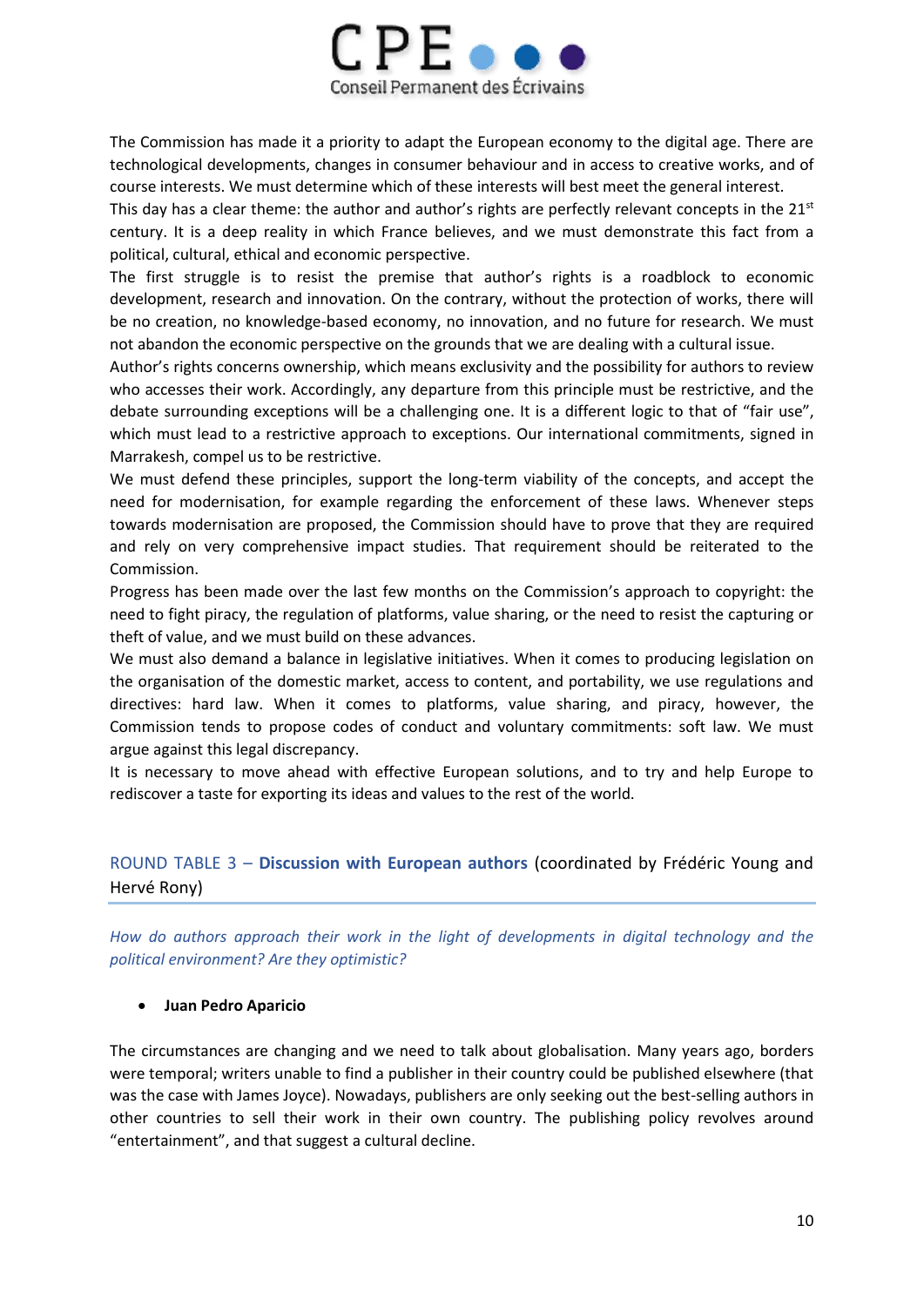

The Commission has made it a priority to adapt the European economy to the digital age. There are technological developments, changes in consumer behaviour and in access to creative works, and of course interests. We must determine which of these interests will best meet the general interest.

This day has a clear theme: the author and author's rights are perfectly relevant concepts in the  $21<sup>st</sup>$ century. It is a deep reality in which France believes, and we must demonstrate this fact from a political, cultural, ethical and economic perspective.

The first struggle is to resist the premise that author's rights is a roadblock to economic development, research and innovation. On the contrary, without the protection of works, there will be no creation, no knowledge-based economy, no innovation, and no future for research. We must not abandon the economic perspective on the grounds that we are dealing with a cultural issue.

Author's rights concerns ownership, which means exclusivity and the possibility for authors to review who accesses their work. Accordingly, any departure from this principle must be restrictive, and the debate surrounding exceptions will be a challenging one. It is a different logic to that of "fair use", which must lead to a restrictive approach to exceptions. Our international commitments, signed in Marrakesh, compel us to be restrictive.

We must defend these principles, support the long-term viability of the concepts, and accept the need for modernisation, for example regarding the enforcement of these laws. Whenever steps towards modernisation are proposed, the Commission should have to prove that they are required and rely on very comprehensive impact studies. That requirement should be reiterated to the Commission.

Progress has been made over the last few months on the Commission's approach to copyright: the need to fight piracy, the regulation of platforms, value sharing, or the need to resist the capturing or theft of value, and we must build on these advances.

We must also demand a balance in legislative initiatives. When it comes to producing legislation on the organisation of the domestic market, access to content, and portability, we use regulations and directives: hard law. When it comes to platforms, value sharing, and piracy, however, the Commission tends to propose codes of conduct and voluntary commitments: soft law. We must argue against this legal discrepancy.

It is necessary to move ahead with effective European solutions, and to try and help Europe to rediscover a taste for exporting its ideas and values to the rest of the world.

# ROUND TABLE 3 – **Discussion with European authors** (coordinated by Frédéric Young and Hervé Rony)

*How do authors approach their work in the light of developments in digital technology and the political environment? Are they optimistic?*

# **Juan Pedro Aparicio**

The circumstances are changing and we need to talk about globalisation. Many years ago, borders were temporal; writers unable to find a publisher in their country could be published elsewhere (that was the case with James Joyce). Nowadays, publishers are only seeking out the best-selling authors in other countries to sell their work in their own country. The publishing policy revolves around "entertainment", and that suggest a cultural decline.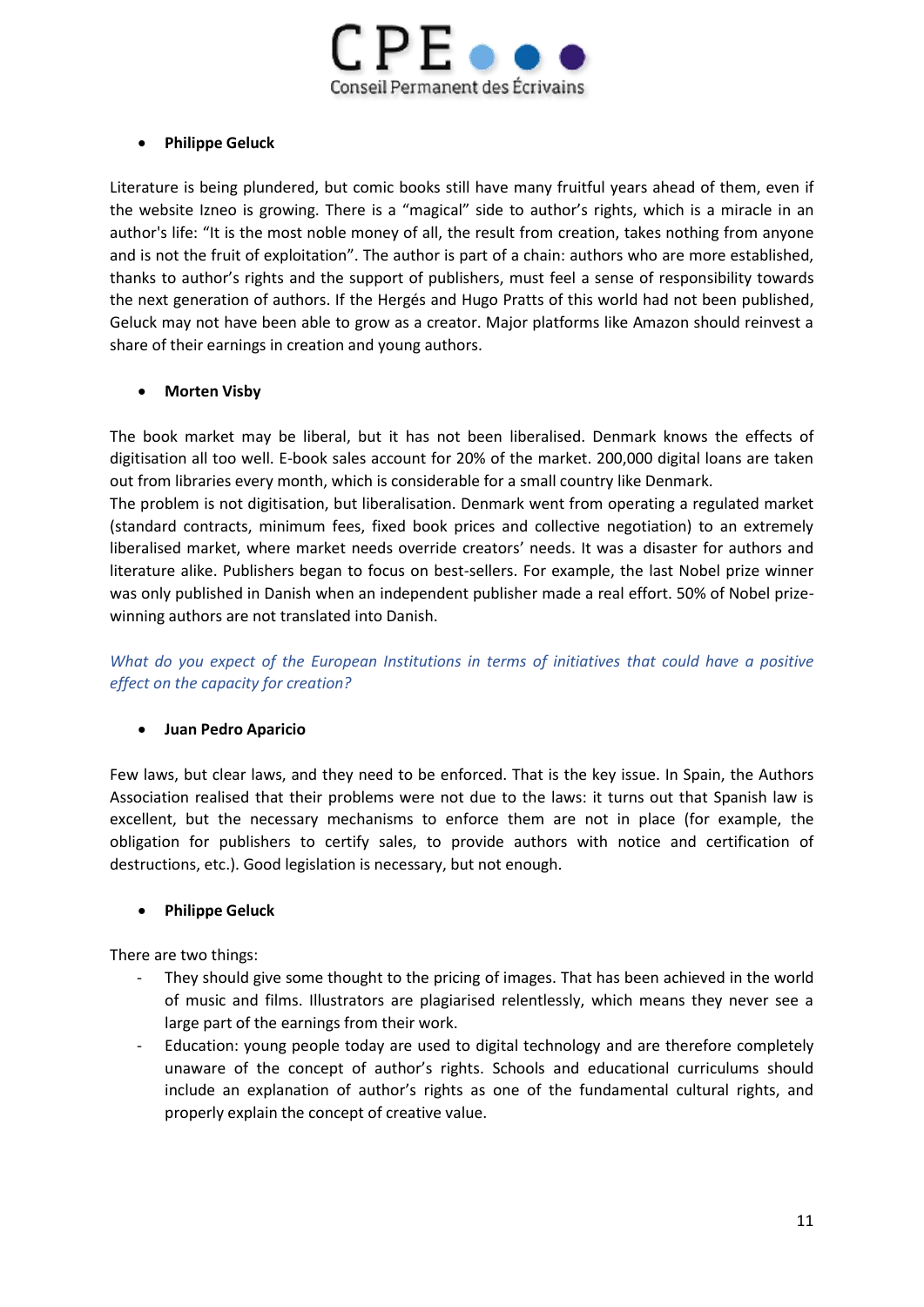

# **Philippe Geluck**

Literature is being plundered, but comic books still have many fruitful years ahead of them, even if the website Izneo is growing. There is a "magical" side to author's rights, which is a miracle in an author's life: "It is the most noble money of all, the result from creation, takes nothing from anyone and is not the fruit of exploitation". The author is part of a chain: authors who are more established, thanks to author's rights and the support of publishers, must feel a sense of responsibility towards the next generation of authors. If the Hergés and Hugo Pratts of this world had not been published, Geluck may not have been able to grow as a creator. Major platforms like Amazon should reinvest a share of their earnings in creation and young authors.

### **Morten Visby**

The book market may be liberal, but it has not been liberalised. Denmark knows the effects of digitisation all too well. E-book sales account for 20% of the market. 200,000 digital loans are taken out from libraries every month, which is considerable for a small country like Denmark.

The problem is not digitisation, but liberalisation. Denmark went from operating a regulated market (standard contracts, minimum fees, fixed book prices and collective negotiation) to an extremely liberalised market, where market needs override creators' needs. It was a disaster for authors and literature alike. Publishers began to focus on best-sellers. For example, the last Nobel prize winner was only published in Danish when an independent publisher made a real effort. 50% of Nobel prizewinning authors are not translated into Danish.

*What do you expect of the European Institutions in terms of initiatives that could have a positive effect on the capacity for creation?*

# **Juan Pedro Aparicio**

Few laws, but clear laws, and they need to be enforced. That is the key issue. In Spain, the Authors Association realised that their problems were not due to the laws: it turns out that Spanish law is excellent, but the necessary mechanisms to enforce them are not in place (for example, the obligation for publishers to certify sales, to provide authors with notice and certification of destructions, etc.). Good legislation is necessary, but not enough.

#### **Philippe Geluck**

There are two things:

- They should give some thought to the pricing of images. That has been achieved in the world of music and films. Illustrators are plagiarised relentlessly, which means they never see a large part of the earnings from their work.
- Education: young people today are used to digital technology and are therefore completely unaware of the concept of author's rights. Schools and educational curriculums should include an explanation of author's rights as one of the fundamental cultural rights, and properly explain the concept of creative value.